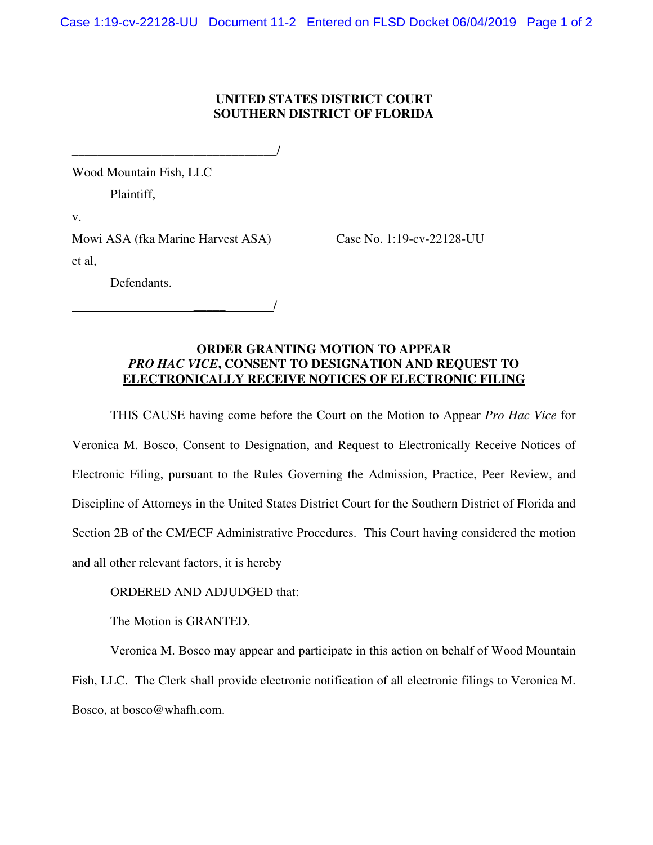## **UNITED STATES DISTRICT COURT SOUTHERN DISTRICT OF FLORIDA**

\_\_\_\_\_\_\_\_\_\_\_\_\_\_\_\_\_\_\_\_\_\_\_\_\_\_\_\_\_\_\_\_/ Wood Mountain Fish, LLC Plaintiff, v. Mowi ASA (fka Marine Harvest ASA) Case No. 1:19-cv-22128-UU et al, Defendants.

\_\_\_\_\_ /

## **ORDER GRANTING MOTION TO APPEAR**  *PRO HAC VICE***, CONSENT TO DESIGNATION AND REQUEST TO ELECTRONICALLY RECEIVE NOTICES OF ELECTRONIC FILING**

THIS CAUSE having come before the Court on the Motion to Appear *Pro Hac Vice* for Veronica M. Bosco, Consent to Designation, and Request to Electronically Receive Notices of Electronic Filing, pursuant to the Rules Governing the Admission, Practice, Peer Review, and Discipline of Attorneys in the United States District Court for the Southern District of Florida and Section 2B of the CM/ECF Administrative Procedures. This Court having considered the motion and all other relevant factors, it is hereby

## ORDERED AND ADJUDGED that:

The Motion is GRANTED.

Veronica M. Bosco may appear and participate in this action on behalf of Wood Mountain Fish, LLC. The Clerk shall provide electronic notification of all electronic filings to Veronica M. Bosco, at bosco@whafh.com.